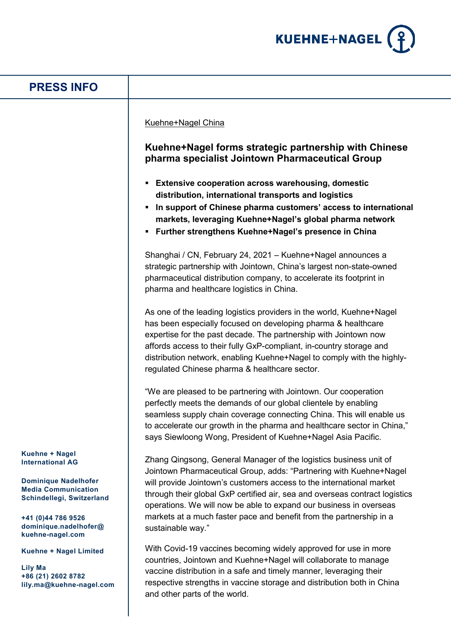

## **Kuehne + Nagel International AG Dominique Nadelhofer Media Communication Schindellegi, Switzerland +41 (0)44 786 9526 dominique.nadelhofer@ kuehne-nagel.com Kuehne + Nagel Limited Lily Ma +86 (21) 2602 8782 lily.ma@kuehne-nagel.com PRESS INFO** Kuehne+Nagel China **Kuehne+Nagel forms strategic partnership with Chinese pharma specialist Jointown Pharmaceutical Group Extensive cooperation across warehousing, domestic distribution, international transports and logistics In support of Chinese pharma customers' access to international markets, leveraging Kuehne+Nagel's global pharma network Further strengthens Kuehne+Nagel's presence in China** Shanghai / CN, February 24, 2021 – Kuehne+Nagel announces a strategic partnership with Jointown, China's largest non-state-owned pharmaceutical distribution company, to accelerate its footprint in pharma and healthcare logistics in China. As one of the leading logistics providers in the world, Kuehne+Nagel has been especially focused on developing pharma & healthcare expertise for the past decade. The partnership with Jointown now affords access to their fully GxP-compliant, in-country storage and distribution network, enabling Kuehne+Nagel to comply with the highlyregulated Chinese pharma & healthcare sector. "We are pleased to be partnering with Jointown. Our cooperation perfectly meets the demands of our global clientele by enabling seamless supply chain coverage connecting China. This will enable us to accelerate our growth in the pharma and healthcare sector in China," says Siewloong Wong, President of Kuehne+Nagel Asia Pacific. Zhang Qingsong, General Manager of the logistics business unit of Jointown Pharmaceutical Group, adds: "Partnering with Kuehne+Nagel will provide Jointown's customers access to the international market through their global GxP certified air, sea and overseas contract logistics operations. We will now be able to expand our business in overseas markets at a much faster pace and benefit from the partnership in a sustainable way." With Covid-19 vaccines becoming widely approved for use in more countries, Jointown and Kuehne+Nagel will collaborate to manage vaccine distribution in a safe and timely manner, leveraging their respective strengths in vaccine storage and distribution both in China and other parts of the world.